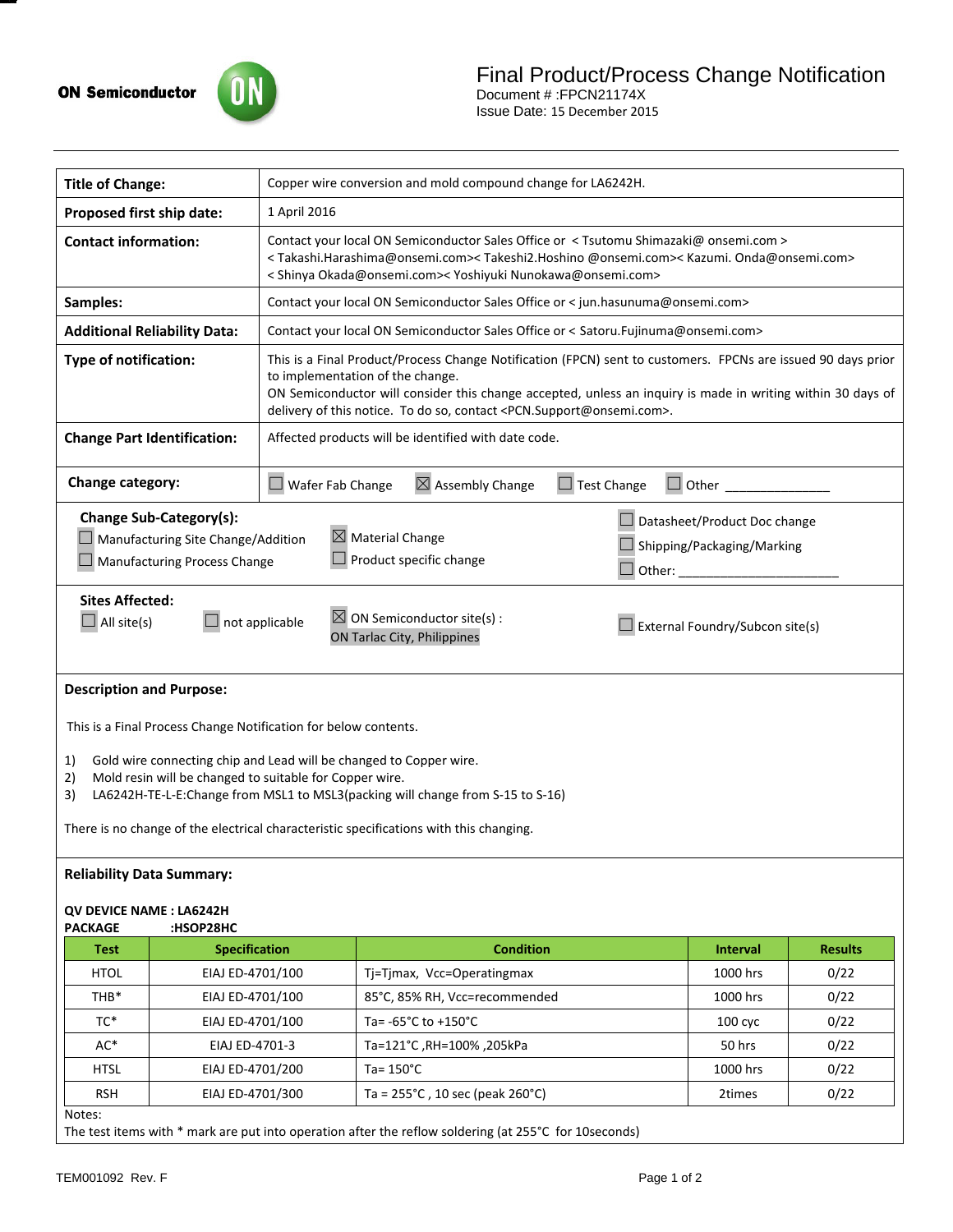

Document # :FPCN21174X Issue Date: 15 December 2015

| <b>Title of Change:</b>                                                                                                                                                                                                                                                                                                     |                                                                                                      | Copper wire conversion and mold compound change for LA6242H.                                                                                                                                                                                                                                                                                                     |                                                        |                                                                                         |                    |                |
|-----------------------------------------------------------------------------------------------------------------------------------------------------------------------------------------------------------------------------------------------------------------------------------------------------------------------------|------------------------------------------------------------------------------------------------------|------------------------------------------------------------------------------------------------------------------------------------------------------------------------------------------------------------------------------------------------------------------------------------------------------------------------------------------------------------------|--------------------------------------------------------|-----------------------------------------------------------------------------------------|--------------------|----------------|
| Proposed first ship date:                                                                                                                                                                                                                                                                                                   |                                                                                                      | 1 April 2016                                                                                                                                                                                                                                                                                                                                                     |                                                        |                                                                                         |                    |                |
| <b>Contact information:</b>                                                                                                                                                                                                                                                                                                 |                                                                                                      | Contact your local ON Semiconductor Sales Office or < Tsutomu Shimazaki@ onsemi.com ><br><takashi.harashima@onsemi.com><takeshi2.hoshino @onsemi.com=""><kazumi.onda@onsemi.com><br/>&lt; Shinya Okada@onsemi.com&gt;&lt; Yoshiyuki Nunokawa@onsemi.com&gt;</kazumi.onda@onsemi.com></takeshi2.hoshino></takashi.harashima@onsemi.com>                           |                                                        |                                                                                         |                    |                |
| Samples:                                                                                                                                                                                                                                                                                                                    |                                                                                                      | Contact your local ON Semiconductor Sales Office or < jun.hasunuma@onsemi.com>                                                                                                                                                                                                                                                                                   |                                                        |                                                                                         |                    |                |
| <b>Additional Reliability Data:</b>                                                                                                                                                                                                                                                                                         |                                                                                                      | Contact your local ON Semiconductor Sales Office or < Satoru.Fujinuma@onsemi.com>                                                                                                                                                                                                                                                                                |                                                        |                                                                                         |                    |                |
| <b>Type of notification:</b>                                                                                                                                                                                                                                                                                                |                                                                                                      | This is a Final Product/Process Change Notification (FPCN) sent to customers. FPCNs are issued 90 days prior<br>to implementation of the change.<br>ON Semiconductor will consider this change accepted, unless an inquiry is made in writing within 30 days of<br>delivery of this notice. To do so, contact <pcn.support@onsemi.com>.</pcn.support@onsemi.com> |                                                        |                                                                                         |                    |                |
| <b>Change Part Identification:</b>                                                                                                                                                                                                                                                                                          |                                                                                                      | Affected products will be identified with date code.                                                                                                                                                                                                                                                                                                             |                                                        |                                                                                         |                    |                |
| Change category:                                                                                                                                                                                                                                                                                                            |                                                                                                      | $\boxtimes$ Assembly Change<br>$\Box$ Test Change<br>$\Box$ Wafer Fab Change<br>Other                                                                                                                                                                                                                                                                            |                                                        |                                                                                         |                    |                |
|                                                                                                                                                                                                                                                                                                                             | Change Sub-Category(s):<br>Manufacturing Site Change/Addition<br><b>Manufacturing Process Change</b> |                                                                                                                                                                                                                                                                                                                                                                  | $\boxtimes$ Material Change<br>Product specific change | $\Box$ Datasheet/Product Doc change<br>Shipping/Packaging/Marking<br>$\Box$ Other: ____ |                    |                |
| <b>Sites Affected:</b><br>$\boxtimes$ ON Semiconductor site(s) :<br>$\Box$ All site(s)<br>not applicable<br>External Foundry/Subcon site(s)<br>ON Tarlac City, Philippines                                                                                                                                                  |                                                                                                      |                                                                                                                                                                                                                                                                                                                                                                  |                                                        |                                                                                         |                    |                |
| <b>Description and Purpose:</b>                                                                                                                                                                                                                                                                                             |                                                                                                      |                                                                                                                                                                                                                                                                                                                                                                  |                                                        |                                                                                         |                    |                |
| This is a Final Process Change Notification for below contents.                                                                                                                                                                                                                                                             |                                                                                                      |                                                                                                                                                                                                                                                                                                                                                                  |                                                        |                                                                                         |                    |                |
| Gold wire connecting chip and Lead will be changed to Copper wire.<br>1)<br>Mold resin will be changed to suitable for Copper wire.<br>2)<br>LA6242H-TE-L-E:Change from MSL1 to MSL3(packing will change from S-15 to S-16)<br>3)<br>There is no change of the electrical characteristic specifications with this changing. |                                                                                                      |                                                                                                                                                                                                                                                                                                                                                                  |                                                        |                                                                                         |                    |                |
| <b>Reliability Data Summary:</b>                                                                                                                                                                                                                                                                                            |                                                                                                      |                                                                                                                                                                                                                                                                                                                                                                  |                                                        |                                                                                         |                    |                |
| QV DEVICE NAME: LA6242H<br>:HSOP28HC<br><b>PACKAGE</b>                                                                                                                                                                                                                                                                      |                                                                                                      |                                                                                                                                                                                                                                                                                                                                                                  |                                                        |                                                                                         |                    |                |
| <b>Test</b>                                                                                                                                                                                                                                                                                                                 | <b>Specification</b>                                                                                 |                                                                                                                                                                                                                                                                                                                                                                  | <b>Condition</b>                                       |                                                                                         | <b>Interval</b>    | <b>Results</b> |
| <b>HTOL</b>                                                                                                                                                                                                                                                                                                                 | EIAJ ED-4701/100                                                                                     |                                                                                                                                                                                                                                                                                                                                                                  | Tj=Tjmax, Vcc=Operatingmax                             |                                                                                         | 1000 hrs           | 0/22           |
| THB*                                                                                                                                                                                                                                                                                                                        | EIAJ ED-4701/100                                                                                     |                                                                                                                                                                                                                                                                                                                                                                  | 85°C, 85% RH, Vcc=recommended                          |                                                                                         | 1000 hrs           | 0/22           |
| TC*                                                                                                                                                                                                                                                                                                                         | EIAJ ED-4701/100                                                                                     |                                                                                                                                                                                                                                                                                                                                                                  | Ta= -65°C to +150°C                                    |                                                                                         | 100 <sub>cyc</sub> | 0/22           |
| AC*                                                                                                                                                                                                                                                                                                                         | EIAJ ED-4701-3                                                                                       |                                                                                                                                                                                                                                                                                                                                                                  | Ta=121°C, RH=100%, 205kPa                              |                                                                                         | 50 hrs             | 0/22           |
| HTSL                                                                                                                                                                                                                                                                                                                        | EIAJ ED-4701/200                                                                                     |                                                                                                                                                                                                                                                                                                                                                                  | Ta= $150^{\circ}$ C                                    |                                                                                         | 1000 hrs           | 0/22           |
| <b>RSH</b>                                                                                                                                                                                                                                                                                                                  | EIAJ ED-4701/300                                                                                     |                                                                                                                                                                                                                                                                                                                                                                  | Ta = $255^{\circ}$ C, 10 sec (peak 260 $^{\circ}$ C)   |                                                                                         | 2times             | 0/22           |
| Notes:<br>The test items with * mark are put into operation after the reflow soldering (at 255°C for 10seconds)                                                                                                                                                                                                             |                                                                                                      |                                                                                                                                                                                                                                                                                                                                                                  |                                                        |                                                                                         |                    |                |